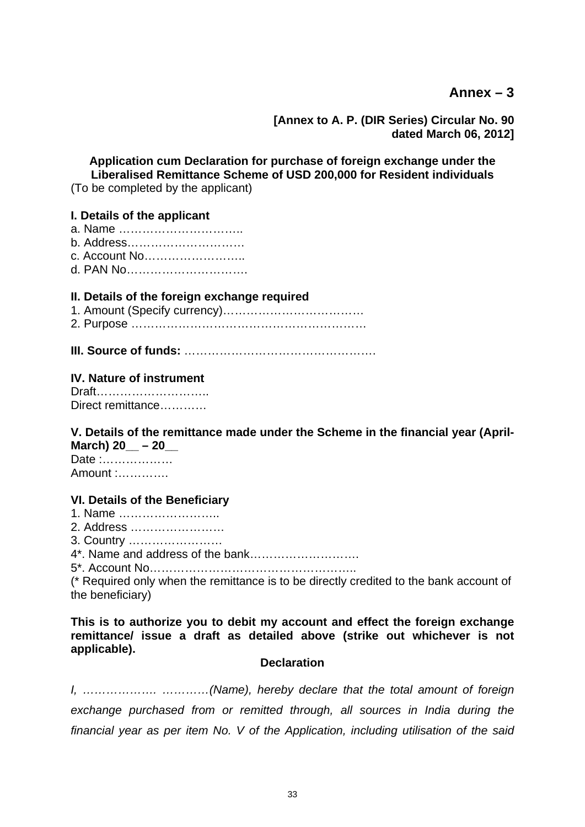**Ann[ex – 3](https://mail.rbi.org.in/owa/?ae=Item&a=Open&t=IPM.Note&id=RgAAAACxr0gwj7s5S6PMXQs1cPiWBwB2mWbKc1XYToWcaE5o7fsZAAAATrkBAAAJt%2fSa4VoXR6ZYS9Zji3zwAMseYJmNAAAJ#_Annex-1#_Annex-1)**

**[Annex to A. P. (DIR Series) Circular No. 90 dated March 06, 2012]** 

**Application cum Declaration for purchase of foreign exchange under the Liberalised Remittance Scheme of USD 200,000 for Resident individuals** 

(To be completed by the applicant)

### **I. Details of the applicant**

- a. Name …………………………..
- b. Address…………………………
- c. Account No……………………..
- d. PAN No………………………….

## **II. Details of the foreign exchange required**

- 1. Amount (Specify currency)………………………………
- 2. Purpose ……………………………………………………
- **III. Source of funds:** ………………………………………….

## **IV. Nature of instrument**

Draft……………………….. Direct remittance…………

#### **V. Details of the remittance made under the Scheme in the financial year (April-March) 20 – 20**

Date :……………… Amount :………….

## **VI. Details of the Beneficiary**

- 1. Name ……………………..
- 2. Address ……………………
- 3. Country ……………………
- 4\*. Name and address of the bank……………………….
- 5\*. Account No……………………………………………..

(\* Required only when the remittance is to be directly credited to the bank account of the beneficiary)

**This is to authorize you to debit my account and effect the foreign exchange remittance/ issue a draft as detailed above (strike out whichever is not applicable).** 

## **Declaration**

*I, ………………. …………(Name), hereby declare that the total amount of foreign exchange purchased from or remitted through, all sources in India during the financial year as per item No. V of the Application, including utilisation of the said*